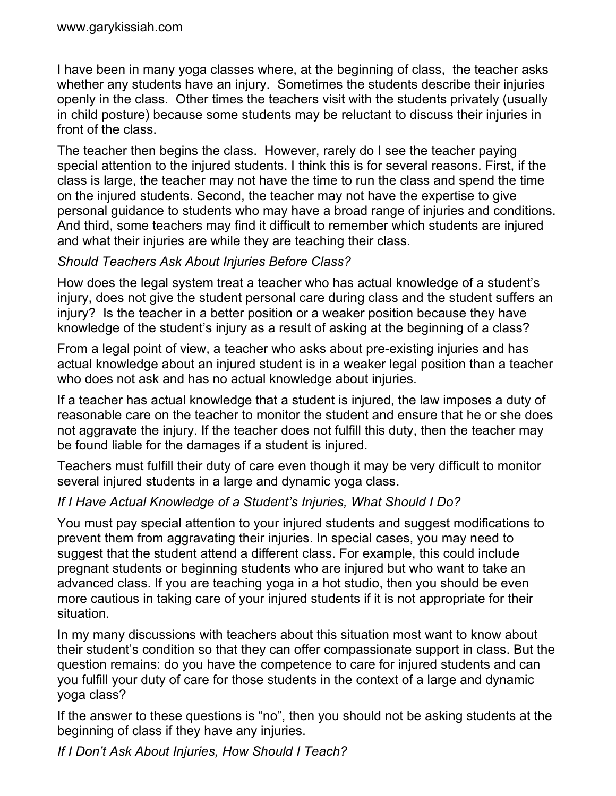I have been in many yoga classes where, at the beginning of class, the teacher asks whether any students have an injury. Sometimes the students describe their injuries openly in the class. Other times the teachers visit with the students privately (usually in child posture) because some students may be reluctant to discuss their injuries in front of the class.

The teacher then begins the class. However, rarely do I see the teacher paying special attention to the injured students. I think this is for several reasons. First, if the class is large, the teacher may not have the time to run the class and spend the time on the injured students. Second, the teacher may not have the expertise to give personal guidance to students who may have a broad range of injuries and conditions. And third, some teachers may find it difficult to remember which students are injured and what their injuries are while they are teaching their class.

## *Should Teachers Ask About Injuries Before Class?*

How does the legal system treat a teacher who has actual knowledge of a student's injury, does not give the student personal care during class and the student suffers an injury? Is the teacher in a better position or a weaker position because they have knowledge of the student's injury as a result of asking at the beginning of a class?

From a legal point of view, a teacher who asks about pre-existing injuries and has actual knowledge about an injured student is in a weaker legal position than a teacher who does not ask and has no actual knowledge about injuries.

If a teacher has actual knowledge that a student is injured, the law imposes a duty of reasonable care on the teacher to monitor the student and ensure that he or she does not aggravate the injury. If the teacher does not fulfill this duty, then the teacher may be found liable for the damages if a student is injured.

Teachers must fulfill their duty of care even though it may be very difficult to monitor several injured students in a large and dynamic yoga class.

## *If I Have Actual Knowledge of a Student's Injuries, What Should I Do?*

You must pay special attention to your injured students and suggest modifications to prevent them from aggravating their injuries. In special cases, you may need to suggest that the student attend a different class. For example, this could include pregnant students or beginning students who are injured but who want to take an advanced class. If you are teaching yoga in a hot studio, then you should be even more cautious in taking care of your injured students if it is not appropriate for their situation.

In my many discussions with teachers about this situation most want to know about their student's condition so that they can offer compassionate support in class. But the question remains: do you have the competence to care for injured students and can you fulfill your duty of care for those students in the context of a large and dynamic yoga class?

If the answer to these questions is "no", then you should not be asking students at the beginning of class if they have any injuries.

*If I Don't Ask About Injuries, How Should I Teach?*